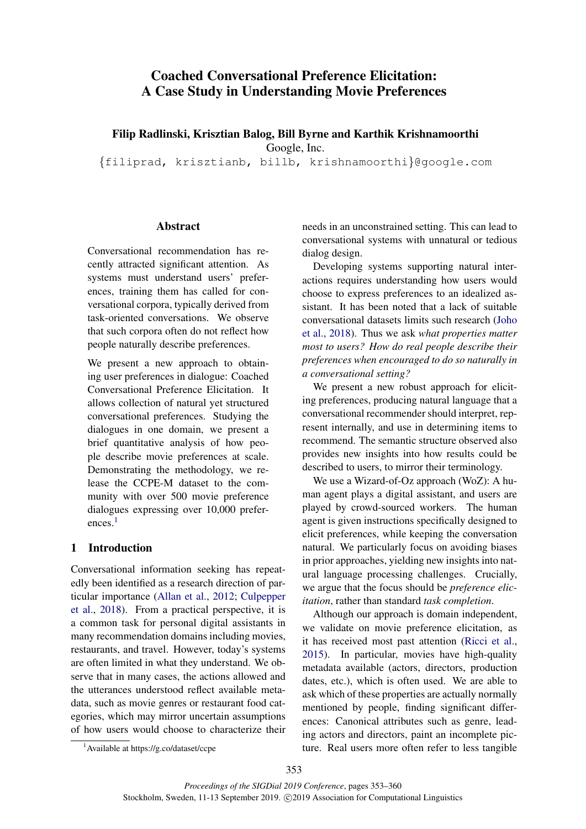# Coached Conversational Preference Elicitation: A Case Study in Understanding Movie Preferences

Filip Radlinski, Krisztian Balog, Bill Byrne and Karthik Krishnamoorthi

Google, Inc.

{filiprad, krisztianb, billb, krishnamoorthi}@google.com

## Abstract

Conversational recommendation has recently attracted significant attention. As systems must understand users' preferences, training them has called for conversational corpora, typically derived from task-oriented conversations. We observe that such corpora often do not reflect how people naturally describe preferences.

We present a new approach to obtaining user preferences in dialogue: Coached Conversational Preference Elicitation. It allows collection of natural yet structured conversational preferences. Studying the dialogues in one domain, we present a brief quantitative analysis of how people describe movie preferences at scale. Demonstrating the methodology, we release the CCPE-M dataset to the community with over 500 movie preference dialogues expressing over 10,000 prefer-ences.<sup>[1](#page-0-0)</sup>

# 1 Introduction

Conversational information seeking has repeatedly been identified as a research direction of particular importance [\(Allan et al.,](#page-5-0) [2012;](#page-5-0) [Culpepper](#page-5-1) [et al.,](#page-5-1) [2018\)](#page-5-1). From a practical perspective, it is a common task for personal digital assistants in many recommendation domains including movies, restaurants, and travel. However, today's systems are often limited in what they understand. We observe that in many cases, the actions allowed and the utterances understood reflect available metadata, such as movie genres or restaurant food categories, which may mirror uncertain assumptions of how users would choose to characterize their

needs in an unconstrained setting. This can lead to conversational systems with unnatural or tedious dialog design.

Developing systems supporting natural interactions requires understanding how users would choose to express preferences to an idealized assistant. It has been noted that a lack of suitable conversational datasets limits such research [\(Joho](#page-5-2) [et al.,](#page-5-2) [2018\)](#page-5-2). Thus we ask *what properties matter most to users? How do real people describe their preferences when encouraged to do so naturally in a conversational setting?*

We present a new robust approach for eliciting preferences, producing natural language that a conversational recommender should interpret, represent internally, and use in determining items to recommend. The semantic structure observed also provides new insights into how results could be described to users, to mirror their terminology.

We use a Wizard-of-Oz approach (WoZ): A human agent plays a digital assistant, and users are played by crowd-sourced workers. The human agent is given instructions specifically designed to elicit preferences, while keeping the conversation natural. We particularly focus on avoiding biases in prior approaches, yielding new insights into natural language processing challenges. Crucially, we argue that the focus should be *preference elicitation*, rather than standard *task completion*.

Although our approach is domain independent, we validate on movie preference elicitation, as it has received most past attention [\(Ricci et al.,](#page-5-3) [2015\)](#page-5-3). In particular, movies have high-quality metadata available (actors, directors, production dates, etc.), which is often used. We are able to ask which of these properties are actually normally mentioned by people, finding significant differences: Canonical attributes such as genre, leading actors and directors, paint an incomplete picture. Real users more often refer to less tangible

<span id="page-0-0"></span><sup>&</sup>lt;sup>1</sup>Available at https://g.co/dataset/ccpe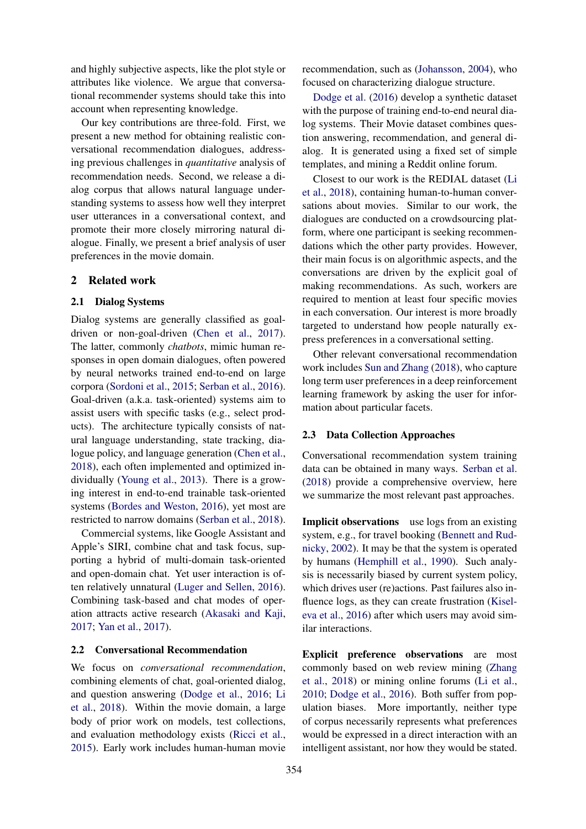and highly subjective aspects, like the plot style or attributes like violence. We argue that conversational recommender systems should take this into account when representing knowledge.

Our key contributions are three-fold. First, we present a new method for obtaining realistic conversational recommendation dialogues, addressing previous challenges in *quantitative* analysis of recommendation needs. Second, we release a dialog corpus that allows natural language understanding systems to assess how well they interpret user utterances in a conversational context, and promote their more closely mirroring natural dialogue. Finally, we present a brief analysis of user preferences in the movie domain.

#### 2 Related work

#### 2.1 Dialog Systems

Dialog systems are generally classified as goaldriven or non-goal-driven [\(Chen et al.,](#page-5-4) [2017\)](#page-5-4). The latter, commonly *chatbots*, mimic human responses in open domain dialogues, often powered by neural networks trained end-to-end on large corpora [\(Sordoni et al.,](#page-5-5) [2015;](#page-5-5) [Serban et al.,](#page-5-6) [2016\)](#page-5-6). Goal-driven (a.k.a. task-oriented) systems aim to assist users with specific tasks (e.g., select products). The architecture typically consists of natural language understanding, state tracking, dialogue policy, and language generation [\(Chen et al.,](#page-5-7) [2018\)](#page-5-7), each often implemented and optimized individually [\(Young et al.,](#page-6-0) [2013\)](#page-6-0). There is a growing interest in end-to-end trainable task-oriented systems [\(Bordes and Weston,](#page-5-8) [2016\)](#page-5-8), yet most are restricted to narrow domains [\(Serban et al.,](#page-5-9) [2018\)](#page-5-9).

Commercial systems, like Google Assistant and Apple's SIRI, combine chat and task focus, supporting a hybrid of multi-domain task-oriented and open-domain chat. Yet user interaction is often relatively unnatural [\(Luger and Sellen,](#page-5-10) [2016\)](#page-5-10). Combining task-based and chat modes of operation attracts active research [\(Akasaki and Kaji,](#page-5-11) [2017;](#page-5-11) [Yan et al.,](#page-6-1) [2017\)](#page-6-1).

# 2.2 Conversational Recommendation

We focus on *conversational recommendation*, combining elements of chat, goal-oriented dialog, and question answering [\(Dodge et al.,](#page-5-12) [2016;](#page-5-12) [Li](#page-5-13) [et al.,](#page-5-13) [2018\)](#page-5-13). Within the movie domain, a large body of prior work on models, test collections, and evaluation methodology exists [\(Ricci et al.,](#page-5-3) [2015\)](#page-5-3). Early work includes human-human movie recommendation, such as [\(Johansson,](#page-5-14) [2004\)](#page-5-14), who focused on characterizing dialogue structure.

[Dodge et al.](#page-5-12) [\(2016\)](#page-5-12) develop a synthetic dataset with the purpose of training end-to-end neural dialog systems. Their Movie dataset combines question answering, recommendation, and general dialog. It is generated using a fixed set of simple templates, and mining a Reddit online forum.

Closest to our work is the REDIAL dataset [\(Li](#page-5-13) [et al.,](#page-5-13) [2018\)](#page-5-13), containing human-to-human conversations about movies. Similar to our work, the dialogues are conducted on a crowdsourcing platform, where one participant is seeking recommendations which the other party provides. However, their main focus is on algorithmic aspects, and the conversations are driven by the explicit goal of making recommendations. As such, workers are required to mention at least four specific movies in each conversation. Our interest is more broadly targeted to understand how people naturally express preferences in a conversational setting.

Other relevant conversational recommendation work includes [Sun and Zhang](#page-5-15) [\(2018\)](#page-5-15), who capture long term user preferences in a deep reinforcement learning framework by asking the user for information about particular facets.

## 2.3 Data Collection Approaches

Conversational recommendation system training data can be obtained in many ways. [Serban et al.](#page-5-9) [\(2018\)](#page-5-9) provide a comprehensive overview, here we summarize the most relevant past approaches.

Implicit observations use logs from an existing system, e.g., for travel booking [\(Bennett and Rud](#page-5-16)[nicky,](#page-5-16) [2002\)](#page-5-16). It may be that the system is operated by humans [\(Hemphill et al.,](#page-5-17) [1990\)](#page-5-17). Such analysis is necessarily biased by current system policy, which drives user (re)actions. Past failures also influence logs, as they can create frustration [\(Kisel](#page-5-18)[eva et al.,](#page-5-18) [2016\)](#page-5-18) after which users may avoid similar interactions.

Explicit preference observations are most commonly based on web review mining [\(Zhang](#page-6-2) [et al.,](#page-6-2) [2018\)](#page-6-2) or mining online forums [\(Li et al.,](#page-5-19) [2010;](#page-5-19) [Dodge et al.,](#page-5-12) [2016\)](#page-5-12). Both suffer from population biases. More importantly, neither type of corpus necessarily represents what preferences would be expressed in a direct interaction with an intelligent assistant, nor how they would be stated.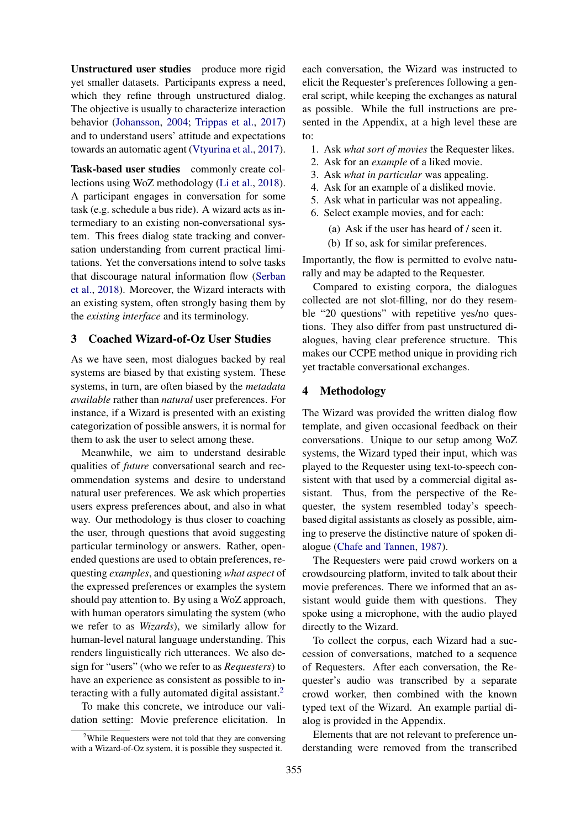Unstructured user studies produce more rigid yet smaller datasets. Participants express a need, which they refine through unstructured dialog. The objective is usually to characterize interaction behavior [\(Johansson,](#page-5-14) [2004;](#page-5-14) [Trippas et al.,](#page-5-20) [2017\)](#page-5-20) and to understand users' attitude and expectations towards an automatic agent [\(Vtyurina et al.,](#page-5-21) [2017\)](#page-5-21).

Task-based user studies commonly create collections using WoZ methodology [\(Li et al.,](#page-5-13) [2018\)](#page-5-13). A participant engages in conversation for some task (e.g. schedule a bus ride). A wizard acts as intermediary to an existing non-conversational system. This frees dialog state tracking and conversation understanding from current practical limitations. Yet the conversations intend to solve tasks that discourage natural information flow [\(Serban](#page-5-9) [et al.,](#page-5-9) [2018\)](#page-5-9). Moreover, the Wizard interacts with an existing system, often strongly basing them by the *existing interface* and its terminology.

## 3 Coached Wizard-of-Oz User Studies

As we have seen, most dialogues backed by real systems are biased by that existing system. These systems, in turn, are often biased by the *metadata available* rather than *natural* user preferences. For instance, if a Wizard is presented with an existing categorization of possible answers, it is normal for them to ask the user to select among these.

Meanwhile, we aim to understand desirable qualities of *future* conversational search and recommendation systems and desire to understand natural user preferences. We ask which properties users express preferences about, and also in what way. Our methodology is thus closer to coaching the user, through questions that avoid suggesting particular terminology or answers. Rather, openended questions are used to obtain preferences, requesting *examples*, and questioning *what aspect* of the expressed preferences or examples the system should pay attention to. By using a WoZ approach, with human operators simulating the system (who we refer to as *Wizards*), we similarly allow for human-level natural language understanding. This renders linguistically rich utterances. We also design for "users" (who we refer to as *Requesters*) to have an experience as consistent as possible to in-teracting with a fully automated digital assistant.<sup>[2](#page-2-0)</sup>

To make this concrete, we introduce our validation setting: Movie preference elicitation. In each conversation, the Wizard was instructed to elicit the Requester's preferences following a general script, while keeping the exchanges as natural as possible. While the full instructions are presented in the Appendix, at a high level these are to:

- 1. Ask *what sort of movies* the Requester likes.
- 2. Ask for an *example* of a liked movie.
- 3. Ask *what in particular* was appealing.
- 4. Ask for an example of a disliked movie.
- 5. Ask what in particular was not appealing.
- 6. Select example movies, and for each:
	- (a) Ask if the user has heard of / seen it.
	- (b) If so, ask for similar preferences.

Importantly, the flow is permitted to evolve naturally and may be adapted to the Requester.

Compared to existing corpora, the dialogues collected are not slot-filling, nor do they resemble "20 questions" with repetitive yes/no questions. They also differ from past unstructured dialogues, having clear preference structure. This makes our CCPE method unique in providing rich yet tractable conversational exchanges.

## 4 Methodology

The Wizard was provided the written dialog flow template, and given occasional feedback on their conversations. Unique to our setup among WoZ systems, the Wizard typed their input, which was played to the Requester using text-to-speech consistent with that used by a commercial digital assistant. Thus, from the perspective of the Requester, the system resembled today's speechbased digital assistants as closely as possible, aiming to preserve the distinctive nature of spoken dialogue [\(Chafe and Tannen,](#page-5-22) [1987\)](#page-5-22).

The Requesters were paid crowd workers on a crowdsourcing platform, invited to talk about their movie preferences. There we informed that an assistant would guide them with questions. They spoke using a microphone, with the audio played directly to the Wizard.

To collect the corpus, each Wizard had a succession of conversations, matched to a sequence of Requesters. After each conversation, the Requester's audio was transcribed by a separate crowd worker, then combined with the known typed text of the Wizard. An example partial dialog is provided in the Appendix.

Elements that are not relevant to preference understanding were removed from the transcribed

<span id="page-2-0"></span><sup>2</sup>While Requesters were not told that they are conversing with a Wizard-of-Oz system, it is possible they suspected it.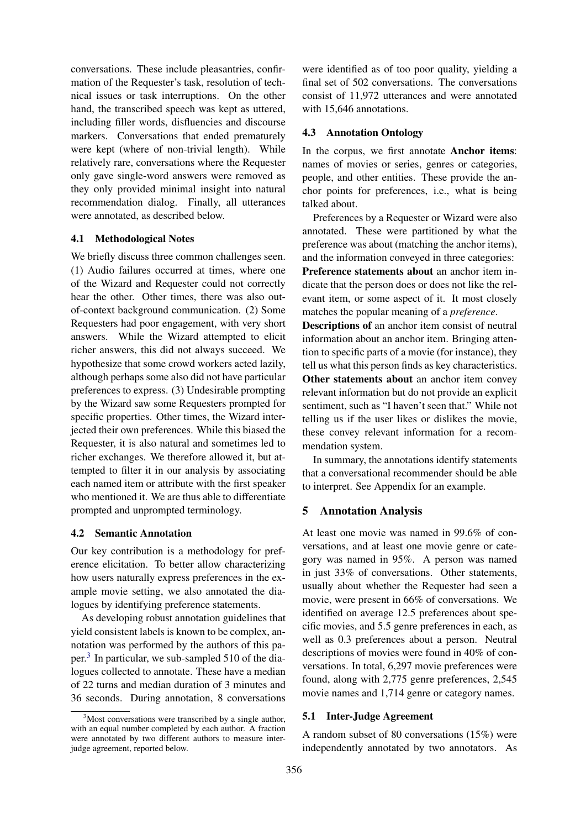conversations. These include pleasantries, confirmation of the Requester's task, resolution of technical issues or task interruptions. On the other hand, the transcribed speech was kept as uttered, including filler words, disfluencies and discourse markers. Conversations that ended prematurely were kept (where of non-trivial length). While relatively rare, conversations where the Requester only gave single-word answers were removed as they only provided minimal insight into natural recommendation dialog. Finally, all utterances were annotated, as described below.

## 4.1 Methodological Notes

We briefly discuss three common challenges seen. (1) Audio failures occurred at times, where one of the Wizard and Requester could not correctly hear the other. Other times, there was also outof-context background communication. (2) Some Requesters had poor engagement, with very short answers. While the Wizard attempted to elicit richer answers, this did not always succeed. We hypothesize that some crowd workers acted lazily, although perhaps some also did not have particular preferences to express. (3) Undesirable prompting by the Wizard saw some Requesters prompted for specific properties. Other times, the Wizard interjected their own preferences. While this biased the Requester, it is also natural and sometimes led to richer exchanges. We therefore allowed it, but attempted to filter it in our analysis by associating each named item or attribute with the first speaker who mentioned it. We are thus able to differentiate prompted and unprompted terminology.

#### 4.2 Semantic Annotation

Our key contribution is a methodology for preference elicitation. To better allow characterizing how users naturally express preferences in the example movie setting, we also annotated the dialogues by identifying preference statements.

As developing robust annotation guidelines that yield consistent labels is known to be complex, annotation was performed by the authors of this pa-per.<sup>[3](#page-3-0)</sup> In particular, we sub-sampled 510 of the dialogues collected to annotate. These have a median of 22 turns and median duration of 3 minutes and 36 seconds. During annotation, 8 conversations were identified as of too poor quality, yielding a final set of 502 conversations. The conversations consist of 11,972 utterances and were annotated with 15,646 annotations.

#### 4.3 Annotation Ontology

In the corpus, we first annotate Anchor items: names of movies or series, genres or categories, people, and other entities. These provide the anchor points for preferences, i.e., what is being talked about.

Preferences by a Requester or Wizard were also annotated. These were partitioned by what the preference was about (matching the anchor items), and the information conveyed in three categories: Preference statements about an anchor item indicate that the person does or does not like the relevant item, or some aspect of it. It most closely matches the popular meaning of a *preference*.

Descriptions of an anchor item consist of neutral information about an anchor item. Bringing attention to specific parts of a movie (for instance), they tell us what this person finds as key characteristics. Other statements about an anchor item convey relevant information but do not provide an explicit sentiment, such as "I haven't seen that." While not telling us if the user likes or dislikes the movie, these convey relevant information for a recommendation system.

In summary, the annotations identify statements that a conversational recommender should be able to interpret. See Appendix for an example.

## 5 Annotation Analysis

At least one movie was named in 99.6% of conversations, and at least one movie genre or category was named in 95%. A person was named in just 33% of conversations. Other statements, usually about whether the Requester had seen a movie, were present in 66% of conversations. We identified on average 12.5 preferences about specific movies, and 5.5 genre preferences in each, as well as 0.3 preferences about a person. Neutral descriptions of movies were found in 40% of conversations. In total, 6,297 movie preferences were found, along with 2,775 genre preferences, 2,545 movie names and 1,714 genre or category names.

## 5.1 Inter-Judge Agreement

A random subset of 80 conversations (15%) were independently annotated by two annotators. As

<span id="page-3-0"></span> $3^3$ Most conversations were transcribed by a single author, with an equal number completed by each author. A fraction were annotated by two different authors to measure interjudge agreement, reported below.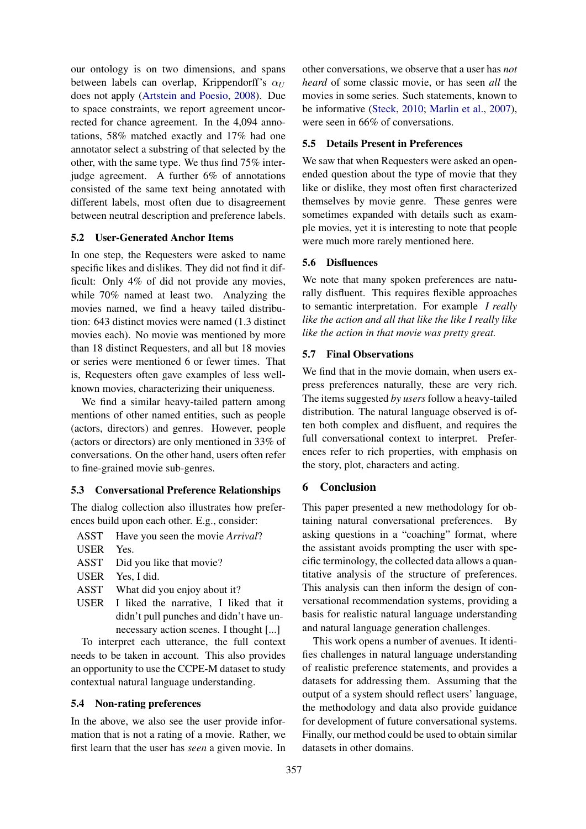our ontology is on two dimensions, and spans between labels can overlap. Krippendorff's  $\alpha$ does not apply [\(Artstein and Poesio,](#page-5-23) [2008\)](#page-5-23). Due to space constraints, we report agreement uncorrected for chance agreement. In the 4,094 annotations, 58% matched exactly and 17% had one annotator select a substring of that selected by the other, with the same type. We thus find 75% interjudge agreement. A further 6% of annotations consisted of the same text being annotated with different labels, most often due to disagreement between neutral description and preference labels.

## 5.2 User-Generated Anchor Items

In one step, the Requesters were asked to name specific likes and dislikes. They did not find it difficult: Only 4% of did not provide any movies, while 70% named at least two. Analyzing the movies named, we find a heavy tailed distribution: 643 distinct movies were named (1.3 distinct movies each). No movie was mentioned by more than 18 distinct Requesters, and all but 18 movies or series were mentioned 6 or fewer times. That is, Requesters often gave examples of less wellknown movies, characterizing their uniqueness.

We find a similar heavy-tailed pattern among mentions of other named entities, such as people (actors, directors) and genres. However, people (actors or directors) are only mentioned in 33% of conversations. On the other hand, users often refer to fine-grained movie sub-genres.

## 5.3 Conversational Preference Relationships

The dialog collection also illustrates how preferences build upon each other. E.g., consider:

ASST Have you seen the movie *Arrival*?

USER Yes.

ASST Did you like that movie?

- USER Yes, I did.
- ASST What did you enjoy about it?
- USER I liked the narrative, I liked that it didn't pull punches and didn't have unnecessary action scenes. I thought [...]

To interpret each utterance, the full context needs to be taken in account. This also provides an opportunity to use the CCPE-M dataset to study contextual natural language understanding.

## 5.4 Non-rating preferences

In the above, we also see the user provide information that is not a rating of a movie. Rather, we first learn that the user has *seen* a given movie. In

other conversations, we observe that a user has *not heard* of some classic movie, or has seen *all* the movies in some series. Such statements, known to be informative [\(Steck,](#page-5-24) [2010;](#page-5-24) [Marlin et al.,](#page-5-25) [2007\)](#page-5-25), were seen in 66% of conversations.

## 5.5 Details Present in Preferences

We saw that when Requesters were asked an openended question about the type of movie that they like or dislike, they most often first characterized themselves by movie genre. These genres were sometimes expanded with details such as example movies, yet it is interesting to note that people were much more rarely mentioned here.

## 5.6 Disfluences

We note that many spoken preferences are naturally disfluent. This requires flexible approaches to semantic interpretation. For example *I really like the action and all that like the like I really like like the action in that movie was pretty great.*

## 5.7 Final Observations

We find that in the movie domain, when users express preferences naturally, these are very rich. The items suggested *by users*follow a heavy-tailed distribution. The natural language observed is often both complex and disfluent, and requires the full conversational context to interpret. Preferences refer to rich properties, with emphasis on the story, plot, characters and acting.

## 6 Conclusion

This paper presented a new methodology for obtaining natural conversational preferences. By asking questions in a "coaching" format, where the assistant avoids prompting the user with specific terminology, the collected data allows a quantitative analysis of the structure of preferences. This analysis can then inform the design of conversational recommendation systems, providing a basis for realistic natural language understanding and natural language generation challenges.

This work opens a number of avenues. It identifies challenges in natural language understanding of realistic preference statements, and provides a datasets for addressing them. Assuming that the output of a system should reflect users' language, the methodology and data also provide guidance for development of future conversational systems. Finally, our method could be used to obtain similar datasets in other domains.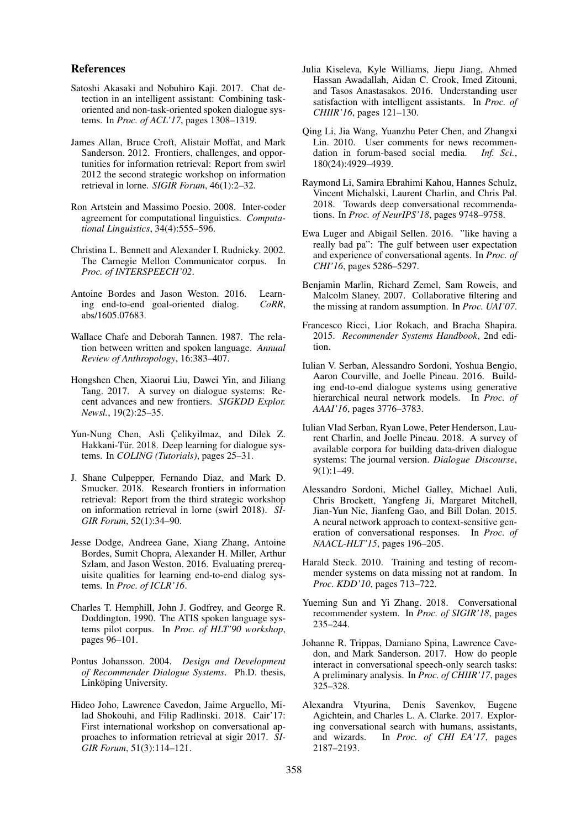#### References

- <span id="page-5-11"></span>Satoshi Akasaki and Nobuhiro Kaji. 2017. Chat detection in an intelligent assistant: Combining taskoriented and non-task-oriented spoken dialogue systems. In *Proc. of ACL'17*, pages 1308–1319.
- <span id="page-5-0"></span>James Allan, Bruce Croft, Alistair Moffat, and Mark Sanderson. 2012. Frontiers, challenges, and opportunities for information retrieval: Report from swirl 2012 the second strategic workshop on information retrieval in lorne. *SIGIR Forum*, 46(1):2–32.
- <span id="page-5-23"></span>Ron Artstein and Massimo Poesio. 2008. Inter-coder agreement for computational linguistics. *Computational Linguistics*, 34(4):555–596.
- <span id="page-5-16"></span>Christina L. Bennett and Alexander I. Rudnicky. 2002. The Carnegie Mellon Communicator corpus. In *Proc. of INTERSPEECH'02*.
- <span id="page-5-8"></span>Antoine Bordes and Jason Weston. 2016. Learning end-to-end goal-oriented dialog. *CoRR*, abs/1605.07683.
- <span id="page-5-22"></span>Wallace Chafe and Deborah Tannen. 1987. The relation between written and spoken language. *Annual Review of Anthropology*, 16:383–407.
- <span id="page-5-4"></span>Hongshen Chen, Xiaorui Liu, Dawei Yin, and Jiliang Tang. 2017. A survey on dialogue systems: Recent advances and new frontiers. *SIGKDD Explor. Newsl.*, 19(2):25–35.
- <span id="page-5-7"></span>Yun-Nung Chen, Asli Çelikyilmaz, and Dilek Z. Hakkani-Tür. 2018. Deep learning for dialogue systems. In *COLING (Tutorials)*, pages 25–31.
- <span id="page-5-1"></span>J. Shane Culpepper, Fernando Diaz, and Mark D. Smucker. 2018. Research frontiers in information retrieval: Report from the third strategic workshop on information retrieval in lorne (swirl 2018). *SI-GIR Forum*, 52(1):34–90.
- <span id="page-5-12"></span>Jesse Dodge, Andreea Gane, Xiang Zhang, Antoine Bordes, Sumit Chopra, Alexander H. Miller, Arthur Szlam, and Jason Weston. 2016. Evaluating prerequisite qualities for learning end-to-end dialog systems. In *Proc. of ICLR'16*.
- <span id="page-5-17"></span>Charles T. Hemphill, John J. Godfrey, and George R. Doddington. 1990. The ATIS spoken language systems pilot corpus. In *Proc. of HLT'90 workshop*, pages 96–101.
- <span id="page-5-14"></span>Pontus Johansson. 2004. *Design and Development of Recommender Dialogue Systems*. Ph.D. thesis, Linköping University.
- <span id="page-5-2"></span>Hideo Joho, Lawrence Cavedon, Jaime Arguello, Milad Shokouhi, and Filip Radlinski. 2018. Cair'17: First international workshop on conversational approaches to information retrieval at sigir 2017. *SI-GIR Forum*, 51(3):114–121.
- <span id="page-5-18"></span>Julia Kiseleva, Kyle Williams, Jiepu Jiang, Ahmed Hassan Awadallah, Aidan C. Crook, Imed Zitouni, and Tasos Anastasakos. 2016. Understanding user satisfaction with intelligent assistants. In *Proc. of CHIIR'16*, pages 121–130.
- <span id="page-5-19"></span>Qing Li, Jia Wang, Yuanzhu Peter Chen, and Zhangxi Lin. 2010. User comments for news recommendation in forum-based social media. *Inf. Sci.*, 180(24):4929–4939.
- <span id="page-5-13"></span>Raymond Li, Samira Ebrahimi Kahou, Hannes Schulz, Vincent Michalski, Laurent Charlin, and Chris Pal. 2018. Towards deep conversational recommendations. In *Proc. of NeurIPS'18*, pages 9748–9758.
- <span id="page-5-10"></span>Ewa Luger and Abigail Sellen. 2016. "like having a really bad pa": The gulf between user expectation and experience of conversational agents. In *Proc. of CHI'16*, pages 5286–5297.
- <span id="page-5-25"></span>Benjamin Marlin, Richard Zemel, Sam Roweis, and Malcolm Slaney. 2007. Collaborative filtering and the missing at random assumption. In *Proc. UAI'07*.
- <span id="page-5-3"></span>Francesco Ricci, Lior Rokach, and Bracha Shapira. 2015. *Recommender Systems Handbook*, 2nd edition.
- <span id="page-5-6"></span>Iulian V. Serban, Alessandro Sordoni, Yoshua Bengio, Aaron Courville, and Joelle Pineau. 2016. Building end-to-end dialogue systems using generative hierarchical neural network models. In *Proc. of AAAI'16*, pages 3776–3783.
- <span id="page-5-9"></span>Iulian Vlad Serban, Ryan Lowe, Peter Henderson, Laurent Charlin, and Joelle Pineau. 2018. A survey of available corpora for building data-driven dialogue systems: The journal version. *Dialogue Discourse*, 9(1):1–49.
- <span id="page-5-5"></span>Alessandro Sordoni, Michel Galley, Michael Auli, Chris Brockett, Yangfeng Ji, Margaret Mitchell, Jian-Yun Nie, Jianfeng Gao, and Bill Dolan. 2015. A neural network approach to context-sensitive generation of conversational responses. In *Proc. of NAACL-HLT'15*, pages 196–205.
- <span id="page-5-24"></span>Harald Steck. 2010. Training and testing of recommender systems on data missing not at random. In *Proc. KDD'10*, pages 713–722.
- <span id="page-5-15"></span>Yueming Sun and Yi Zhang. 2018. Conversational recommender system. In *Proc. of SIGIR'18*, pages 235–244.
- <span id="page-5-20"></span>Johanne R. Trippas, Damiano Spina, Lawrence Cavedon, and Mark Sanderson. 2017. How do people interact in conversational speech-only search tasks: A preliminary analysis. In *Proc. of CHIIR'17*, pages 325–328.
- <span id="page-5-21"></span>Alexandra Vtyurina, Denis Savenkov, Eugene Agichtein, and Charles L. A. Clarke. 2017. Exploring conversational search with humans, assistants, and wizards. In *Proc. of CHI EA'17*, pages 2187–2193.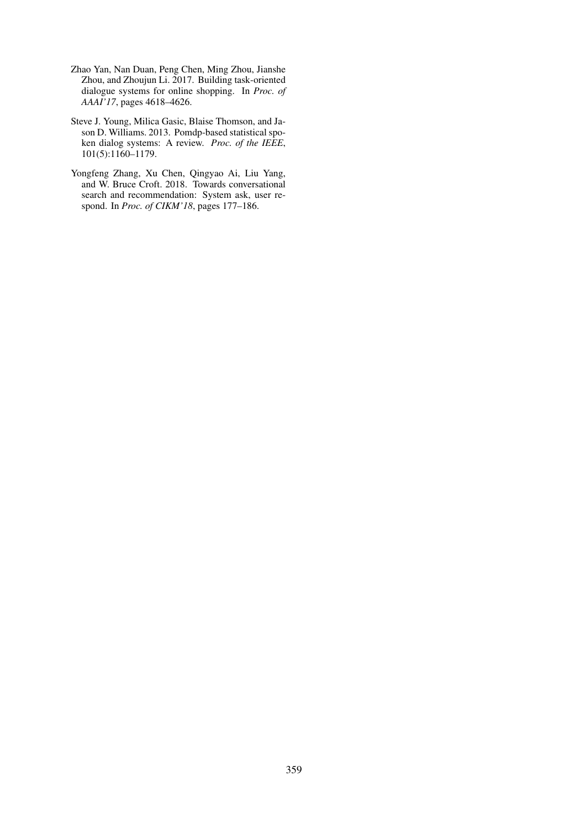- <span id="page-6-1"></span>Zhao Yan, Nan Duan, Peng Chen, Ming Zhou, Jianshe Zhou, and Zhoujun Li. 2017. Building task-oriented dialogue systems for online shopping. In *Proc. of AAAI'17*, pages 4618–4626.
- <span id="page-6-0"></span>Steve J. Young, Milica Gasic, Blaise Thomson, and Jason D. Williams. 2013. Pomdp-based statistical spoken dialog systems: A review. *Proc. of the IEEE*, 101(5):1160–1179.
- <span id="page-6-2"></span>Yongfeng Zhang, Xu Chen, Qingyao Ai, Liu Yang, and W. Bruce Croft. 2018. Towards conversational search and recommendation: System ask, user respond. In *Proc. of CIKM'18*, pages 177–186.